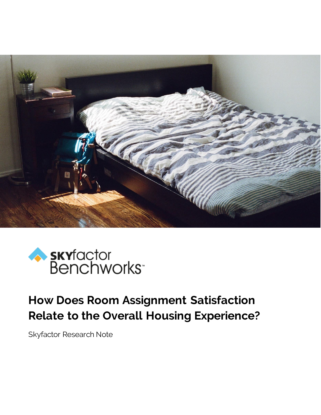



# **How Does Room Assignment Satisfaction Relate to the Overall Housing Experience?**

Skyfactor Research Note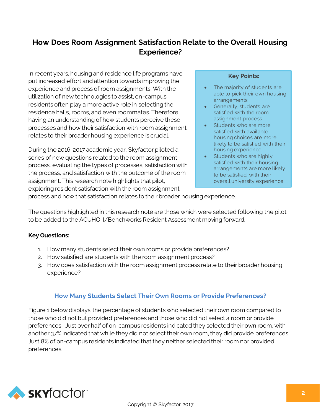## **How Does Room Assignment Satisfaction Relate to the Overall Housing Experience?**

In recent years, housing and residence life programs have put increased effort and attention towards improving the experience and process of room assignments. With the utilization of new technologies to assist, on-campus residents often play a more active role in selecting the residence halls, rooms, and even roommates. Therefore, having an understanding of how students perceive these processes and how their satisfaction with room assignment relates to their broader housing experience is crucial.

During the 2016-2017 academic year, Skyfactor piloted a series of new questions related to the room assignment process, evaluating the types of processes, satisfaction with the process, and satisfaction with the outcome of the room assignment. This research note highlights that pilot, exploring resident satisfaction with the room assignment

#### **Key Points:**

- The majority of students are able to pick their own housing arrangements.
- **Generally, students are** satisfied with the room assignment process
- Students who are more satisfied with available housing choices are more likely to be satisfied with their housing experience.
- Students who are highly satisfied with their housing arrangements are more likely to be satisfied with their overall university experience.

process and how that satisfaction relates to their broader housing experience.

The questions highlighted in this research note are those which were selected following the pilot to be added to the ACUHO-I/Benchworks Resident Assessment moving forward.

#### **Key Questions:**

- 1. How many students select their own rooms or provide preferences?
- 2. How satisfied are students with the room assignment process?
- 3. How does satisfaction with the room assignment process relate to their broader housing experience?

## **How Many Students Select Their Own Rooms or Provide Preferences?**

Figure 1 below displays the percentage of students who selected their own room compared to those who did not but provided preferences and those who did not select a room or provide preferences. Just over half of on-campus residents indicated they selected their own room, with another 37% indicated that while they did not select their own room, they did provide preferences. Just 8% of on-campus residents indicated that they neither selected their room nor provided preferences.

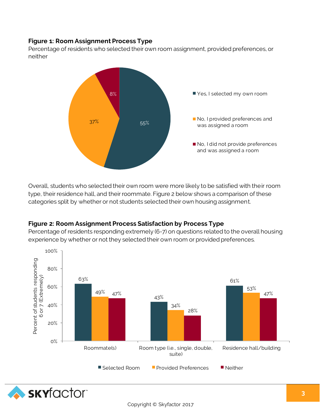## **Figure 1: Room Assignment Process Type**

Percentage of residents who selected their own room assignment, provided preferences, or neither



Overall, students who selected their own room were more likely to be satisfied with their room type, their residence hall, and their roommate. Figure 2 below shows a comparison of these categories split by whether or not students selected their own housing assignment.

## **Figure 2: Room Assignment Process Satisfaction by Process Type**

Percentage of residents responding extremely (6-7) on questions related to the overall housing experience by whether or not they selected their own room or provided preferences.

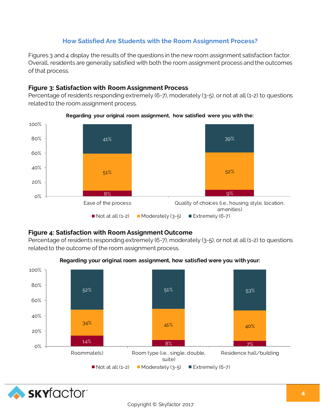## **How Satisfied Are Students with the Room Assignment Process?**

Figures 3 and 4 display the results of the questions in the new room assignment satisfaction factor. Overall, residents are generally satisfied with both the room assignment process and the outcomes of that process.

#### **Figure 3: Satisfaction with Room Assignment Process**

Percentage of residents responding extremely (6-7), moderately (3-5), or not at all (1-2) to questions related to the room assignment process.





## **Figure 4: Satisfaction with Room Assignment Outcome**

Percentage of residents responding extremely (6-7), moderately (3-5), or not at all (1-2) to questions related to the outcome of the room assignment process.



#### **Regarding your original room assignment, how satisfied were you with your:**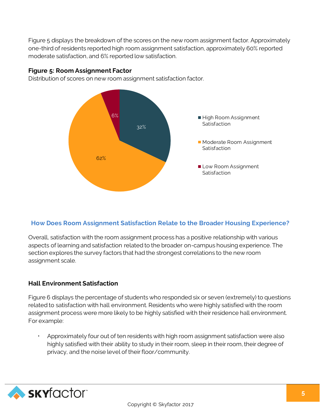Figure 5 displays the breakdown of the scores on the new room assignment factor. Approximately one-third of residents reported high room assignment satisfaction, approximately 60% reported moderate satisfaction, and 6% reported low satisfaction.

#### **Figure 5: Room Assignment Factor**

Distribution of scores on new room assignment satisfaction factor.



## **How Does Room Assignment Satisfaction Relate to the Broader Housing Experience?**

Overall, satisfaction with the room assignment process has a positive relationship with various aspects of learning and satisfaction related to the broader on-campus housing experience. The section explores the survey factors that had the strongest correlations to the new room assignment scale.

## **Hall Environment Satisfaction**

Figure 6 displays the percentage of students who responded six or seven (extremely) to questions related to satisfaction with hall environment. Residents who were highly satisfied with the room assignment process were more likely to be highly satisfied with their residence hall environment. For example:

 Approximately four out of ten residents with high room assignment satisfaction were also highly satisfied with their ability to study in their room, sleep in their room, their degree of privacy, and the noise level of their floor/community.

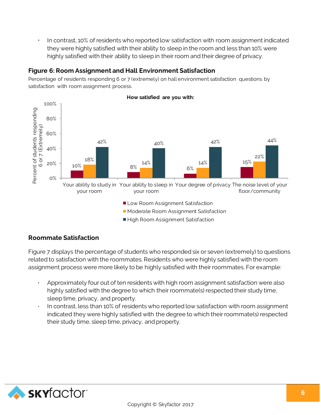In contrast, 10% of residents who reported low satisfaction with room assignment indicated they were highly satisfied with their ability to sleep in the room and less than 10% were highly satisfied with their ability to sleep in their room and their degree of privacy.

#### **Figure 6: Room Assignment and Hall Environment Satisfaction**

Percentage of residents responding 6 or 7 (extremely) on hall environment satisfaction questions by satisfaction with room assignment process.



## **Roommate Satisfaction**

Figure 7 displays the percentage of students who responded six or seven (extremely) to questions related to satisfaction with the roommates. Residents who were highly satisfied with the room assignment process were more likely to be highly satisfied with their roommates. For example:

- Approximately four out of ten residents with high room assignment satisfaction were also highly satisfied with the degree to which their roommate(s) respected their study time, sleep time, privacy, and property.
- In contrast, less than 10% of residents who reported low satisfaction with room assignment indicated they were highly satisfied with the degree to which their roommate(s) respected their study time, sleep time, privacy, and property.

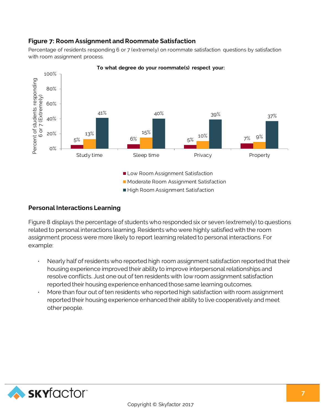## **Figure 7: Room Assignment and Roommate Satisfaction**

Percentage of residents responding 6 or 7 (extremely) on roommate satisfaction questions by satisfaction with room assignment process.



**To what degree do your roommate(s) respect your:** 

## **Personal Interactions Learning**

Figure 8 displays the percentage of students who responded six or seven (extremely) to questions related to personal interactions learning. Residents who were highly satisfied with the room assignment process were more likely to report learning related to personal interactions. For example:

- Nearly half of residents who reported high room assignment satisfaction reported that their housing experience improved their ability to improve interpersonal relationships and resolve conflicts. Just one out of ten residents with low room assignment satisfaction reported their housing experience enhanced those same learning outcomes.
- More than four out of ten residents who reported high satisfaction with room assignment reported their housing experience enhanced their ability to live cooperatively and meet other people.

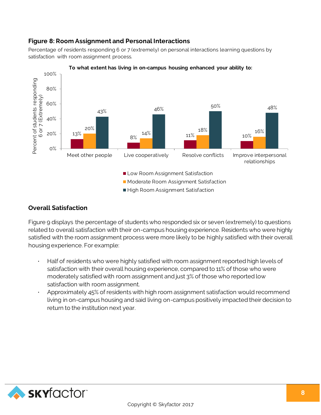## **Figure 8: Room Assignment and Personal Interactions**

Percentage of residents responding 6 or 7 (extremely) on personal interactions learning questions by satisfaction with room assignment process.



#### **To what extent has living in on-campus housing enhanced your ability to:**

#### **Overall Satisfaction**

Figure 9 displays the percentage of students who responded six or seven (extremely) to questions related to overall satisfaction with their on-campus housing experience. Residents who were highly satisfied with the room assignment process were more likely to be highly satisfied with their overall housing experience. For example:

- Half of residents who were highly satisfied with room assignment reported high levels of satisfaction with their overall housing experience, compared to 11% of those who were moderately satisfied with room assignment and just 3% of those who reported low satisfaction with room assignment.
- Approximately 45% of residents with high room assignment satisfaction would recommend living in on-campus housing and said living on-campus positively impacted their decision to return to the institution next year.

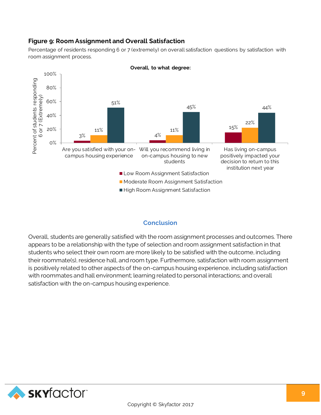## **Figure 9: Room Assignment and Overall Satisfaction**

Percentage of residents responding 6 or 7 (extremely) on overall satisfaction questions by satisfaction with room assignment process.



**Overall, to what degree:**

## **Conclusion**

Overall, students are generally satisfied with the room assignment processes and outcomes. There appears to be a relationship with the type of selection and room assignment satisfaction in that students who select their own room are more likely to be satisfied with the outcome, including their roommate(s), residence hall, and room type. Furthermore, satisfaction with room assignment is positively related to other aspects of the on-campus housing experience, including satisfaction with roommates and hall environment; learning related to personal interactions; and overall satisfaction with the on-campus housing experience.

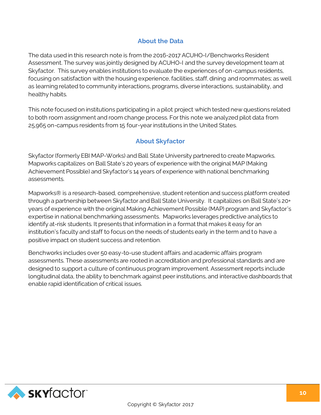## **About the Data**

The data used in this research note is from the 2016-2017 ACUHO-I/Benchworks Resident Assessment. The survey was jointly designed by ACUHO-I and the survey development team at Skyfactor. This survey enables institutions to evaluate the experiences of on-campus residents, focusing on satisfaction with the housing experience, facilities, staff, dining and roommates; as well as learning related to community interactions, programs, diverse interactions, sustainability, and healthy habits.

This note focused on institutions participating in a pilot project which tested new questions related to both room assignment and room change process. For this note we analyzed pilot data from 25,965 on-campus residents from 15 four-year institutions in the United States.

## **About Skyfactor**

Skyfactor (formerly EBI MAP-Works) and Ball State University partnered to create Mapworks. Mapworks capitalizes on Ball State's 20 years of experience with the original MAP (Making Achievement Possible) and Skyfactor's 14 years of experience with national benchmarking assessments.

Mapworks® is a research-based, comprehensive, student retention and success platform created through a partnership between Skyfactor and Ball State University. It capitalizes on Ball State's 20+ years of experience with the original Making Achievement Possible (MAP) program and Skyfactor's expertise in national benchmarking assessments. Mapworks leverages predictive analytics to identify at-risk students. It presents that information in a format that makes it easy for an institution's faculty and staff to focus on the needs of students early in the term and to have a positive impact on student success and retention.

Benchworks includes over 50 easy-to-use student affairs and academic affairs program assessments. These assessments are rooted in accreditation and professional standards and are designed to support a culture of continuous program improvement. Assessment reports include longitudinal data, the ability to benchmark against peer institutions, and interactive dashboards that enable rapid identification of critical issues.